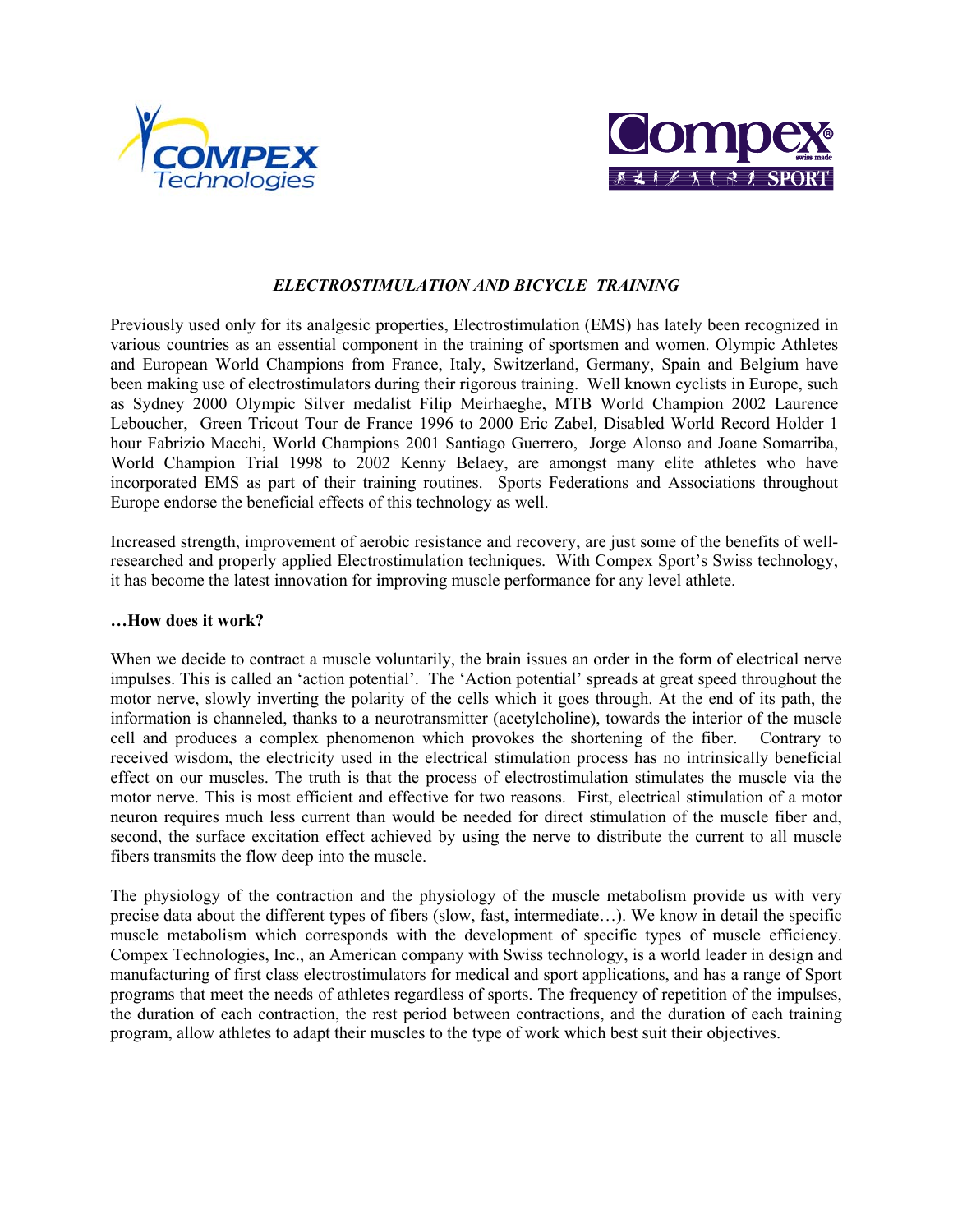



## *ELECTROSTIMULATION AND BICYCLE TRAINING*

Previously used only for its analgesic properties, Electrostimulation (EMS) has lately been recognized in various countries as an essential component in the training of sportsmen and women. Olympic Athletes and European World Champions from France, Italy, Switzerland, Germany, Spain and Belgium have been making use of electrostimulators during their rigorous training. Well known cyclists in Europe, such as Sydney 2000 Olympic Silver medalist Filip Meirhaeghe, MTB World Champion 2002 Laurence Leboucher, Green Tricout Tour de France 1996 to 2000 Eric Zabel, Disabled World Record Holder 1 hour Fabrizio Macchi, World Champions 2001 Santiago Guerrero, Jorge Alonso and Joane Somarriba, World Champion Trial 1998 to 2002 Kenny Belaey, are amongst many elite athletes who have incorporated EMS as part of their training routines. Sports Federations and Associations throughout Europe endorse the beneficial effects of this technology as well.

Increased strength, improvement of aerobic resistance and recovery, are just some of the benefits of wellresearched and properly applied Electrostimulation techniques. With Compex Sport's Swiss technology, it has become the latest innovation for improving muscle performance for any level athlete.

## **…How does it work?**

When we decide to contract a muscle voluntarily, the brain issues an order in the form of electrical nerve impulses. This is called an 'action potential'. The 'Action potential' spreads at great speed throughout the motor nerve, slowly inverting the polarity of the cells which it goes through. At the end of its path, the information is channeled, thanks to a neurotransmitter (acetylcholine), towards the interior of the muscle cell and produces a complex phenomenon which provokes the shortening of the fiber. Contrary to received wisdom, the electricity used in the electrical stimulation process has no intrinsically beneficial effect on our muscles. The truth is that the process of electrostimulation stimulates the muscle via the motor nerve. This is most efficient and effective for two reasons. First, electrical stimulation of a motor neuron requires much less current than would be needed for direct stimulation of the muscle fiber and, second, the surface excitation effect achieved by using the nerve to distribute the current to all muscle fibers transmits the flow deep into the muscle.

The physiology of the contraction and the physiology of the muscle metabolism provide us with very precise data about the different types of fibers (slow, fast, intermediate…). We know in detail the specific muscle metabolism which corresponds with the development of specific types of muscle efficiency. Compex Technologies, Inc., an American company with Swiss technology, is a world leader in design and manufacturing of first class electrostimulators for medical and sport applications, and has a range of Sport programs that meet the needs of athletes regardless of sports. The frequency of repetition of the impulses, the duration of each contraction, the rest period between contractions, and the duration of each training program, allow athletes to adapt their muscles to the type of work which best suit their objectives.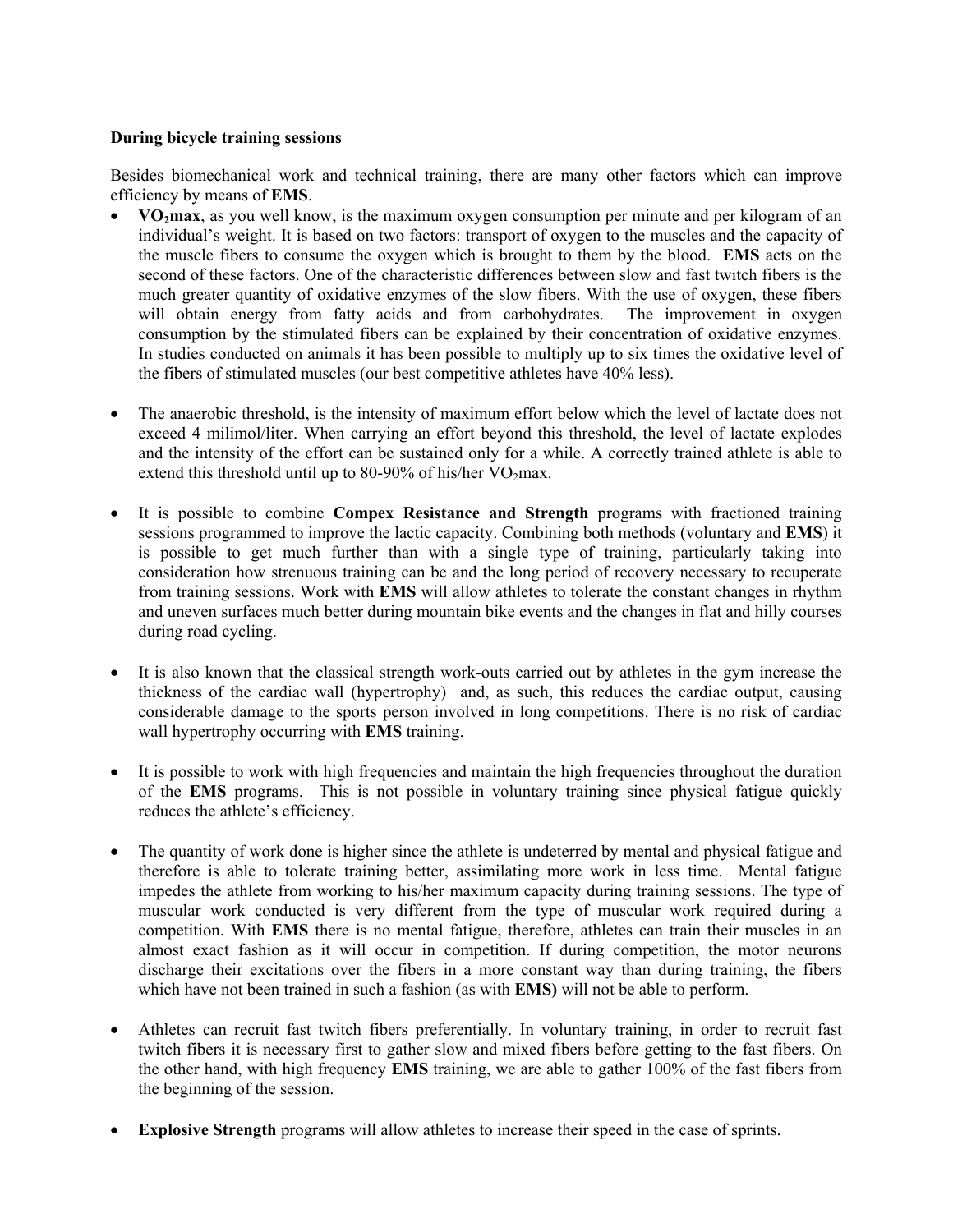## **During bicycle training sessions**

Besides biomechanical work and technical training, there are many other factors which can improve efficiency by means of **EMS**.

- **VO<sub>2</sub>max**, as you well know, is the maximum oxygen consumption per minute and per kilogram of an individual's weight. It is based on two factors: transport of oxygen to the muscles and the capacity of the muscle fibers to consume the oxygen which is brought to them by the blood. **EMS** acts on the second of these factors. One of the characteristic differences between slow and fast twitch fibers is the much greater quantity of oxidative enzymes of the slow fibers. With the use of oxygen, these fibers will obtain energy from fatty acids and from carbohydrates. The improvement in oxygen consumption by the stimulated fibers can be explained by their concentration of oxidative enzymes. In studies conducted on animals it has been possible to multiply up to six times the oxidative level of the fibers of stimulated muscles (our best competitive athletes have 40% less).
- The anaerobic threshold, is the intensity of maximum effort below which the level of lactate does not exceed 4 milimol/liter. When carrying an effort beyond this threshold, the level of lactate explodes and the intensity of the effort can be sustained only for a while. A correctly trained athlete is able to extend this threshold until up to 80-90% of his/her  $VO<sub>2</sub>max$ .
- It is possible to combine **Compex Resistance and Strength** programs with fractioned training sessions programmed to improve the lactic capacity. Combining both methods (voluntary and **EMS**) it is possible to get much further than with a single type of training, particularly taking into consideration how strenuous training can be and the long period of recovery necessary to recuperate from training sessions. Work with **EMS** will allow athletes to tolerate the constant changes in rhythm and uneven surfaces much better during mountain bike events and the changes in flat and hilly courses during road cycling.
- It is also known that the classical strength work-outs carried out by athletes in the gym increase the thickness of the cardiac wall (hypertrophy) and, as such, this reduces the cardiac output, causing considerable damage to the sports person involved in long competitions. There is no risk of cardiac wall hypertrophy occurring with **EMS** training.
- It is possible to work with high frequencies and maintain the high frequencies throughout the duration of the **EMS** programs. This is not possible in voluntary training since physical fatigue quickly reduces the athlete's efficiency.
- The quantity of work done is higher since the athlete is undeterred by mental and physical fatigue and therefore is able to tolerate training better, assimilating more work in less time. Mental fatigue impedes the athlete from working to his/her maximum capacity during training sessions. The type of muscular work conducted is very different from the type of muscular work required during a competition. With **EMS** there is no mental fatigue, therefore, athletes can train their muscles in an almost exact fashion as it will occur in competition. If during competition, the motor neurons discharge their excitations over the fibers in a more constant way than during training, the fibers which have not been trained in such a fashion (as with **EMS)** will not be able to perform.
- Athletes can recruit fast twitch fibers preferentially. In voluntary training, in order to recruit fast twitch fibers it is necessary first to gather slow and mixed fibers before getting to the fast fibers. On the other hand, with high frequency **EMS** training, we are able to gather 100% of the fast fibers from the beginning of the session.
- **Explosive Strength** programs will allow athletes to increase their speed in the case of sprints.